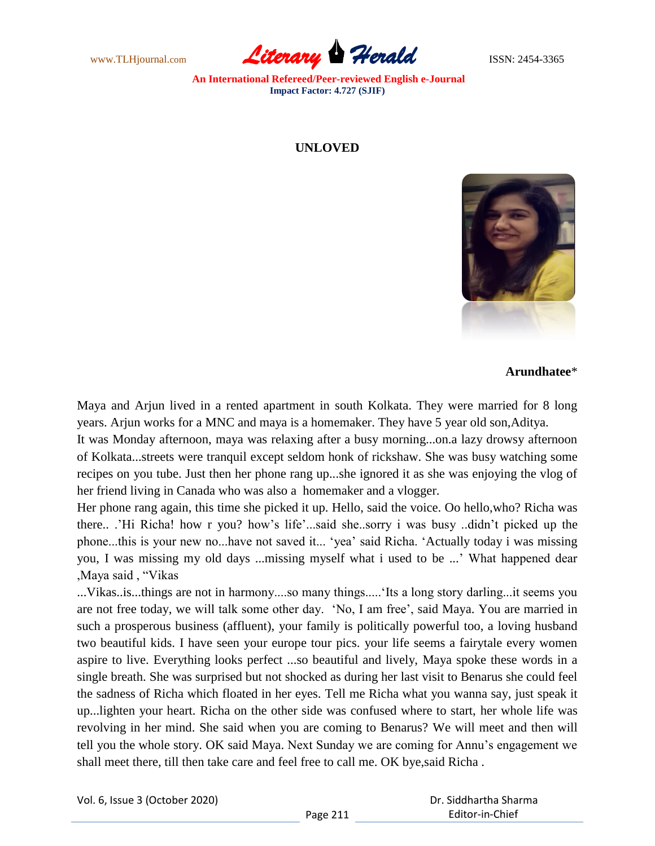www.TLHjournal.com **Literary Herald Herald ISSN: 2454-3365** 

## **UNLOVED**



**Arundhatee**\*

Maya and Arjun lived in a rented apartment in south Kolkata. They were married for 8 long years. Arjun works for a MNC and maya is a homemaker. They have 5 year old son,Aditya.

It was Monday afternoon, maya was relaxing after a busy morning...on.a lazy drowsy afternoon of Kolkata...streets were tranquil except seldom honk of rickshaw. She was busy watching some recipes on you tube. Just then her phone rang up...she ignored it as she was enjoying the vlog of her friend living in Canada who was also a homemaker and a vlogger.

Her phone rang again, this time she picked it up. Hello, said the voice. Oo hello,who? Richa was there.. ."Hi Richa! how r you? how"s life"...said she..sorry i was busy ..didn"t picked up the phone...this is your new no...have not saved it... "yea" said Richa. "Actually today i was missing you, I was missing my old days ...missing myself what i used to be ..." What happened dear ,Maya said , "Vikas

...Vikas..is...things are not in harmony....so many things....."Its a long story darling...it seems you are not free today, we will talk some other day. "No, I am free", said Maya. You are married in such a prosperous business (affluent), your family is politically powerful too, a loving husband two beautiful kids. I have seen your europe tour pics. your life seems a fairytale every women aspire to live. Everything looks perfect ...so beautiful and lively, Maya spoke these words in a single breath. She was surprised but not shocked as during her last visit to Benarus she could feel the sadness of Richa which floated in her eyes. Tell me Richa what you wanna say, just speak it up...lighten your heart. Richa on the other side was confused where to start, her whole life was revolving in her mind. She said when you are coming to Benarus? We will meet and then will tell you the whole story. OK said Maya. Next Sunday we are coming for Annu"s engagement we shall meet there, till then take care and feel free to call me. OK bye,said Richa .

|  | Vol. 6, Issue 3 (October 2020) |
|--|--------------------------------|
|--|--------------------------------|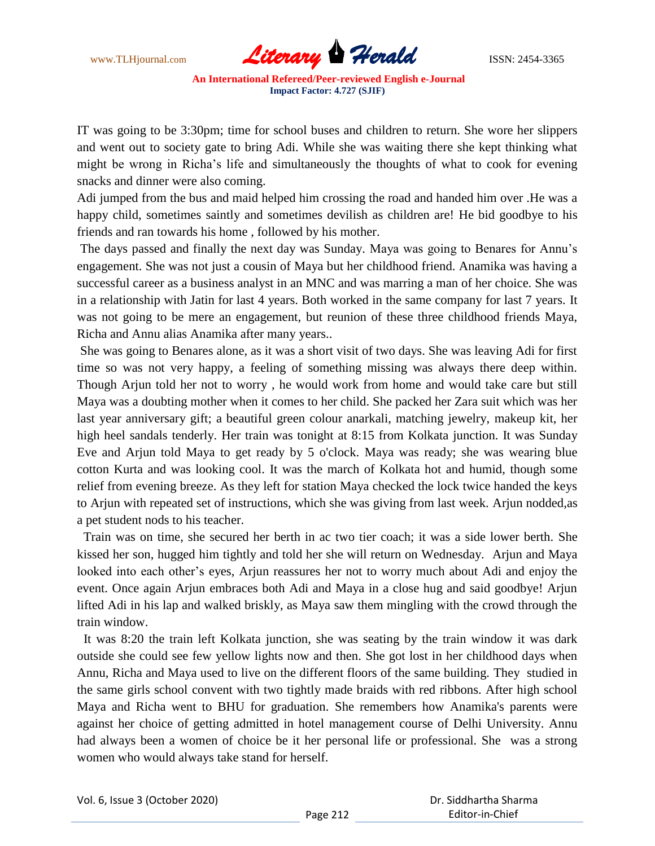

IT was going to be 3:30pm; time for school buses and children to return. She wore her slippers and went out to society gate to bring Adi. While she was waiting there she kept thinking what might be wrong in Richa"s life and simultaneously the thoughts of what to cook for evening snacks and dinner were also coming.

Adi jumped from the bus and maid helped him crossing the road and handed him over .He was a happy child, sometimes saintly and sometimes devilish as children are! He bid goodbye to his friends and ran towards his home , followed by his mother.

The days passed and finally the next day was Sunday. Maya was going to Benares for Annu"s engagement. She was not just a cousin of Maya but her childhood friend. Anamika was having a successful career as a business analyst in an MNC and was marring a man of her choice. She was in a relationship with Jatin for last 4 years. Both worked in the same company for last 7 years. It was not going to be mere an engagement, but reunion of these three childhood friends Maya, Richa and Annu alias Anamika after many years..

She was going to Benares alone, as it was a short visit of two days. She was leaving Adi for first time so was not very happy, a feeling of something missing was always there deep within. Though Arjun told her not to worry , he would work from home and would take care but still Maya was a doubting mother when it comes to her child. She packed her Zara suit which was her last year anniversary gift; a beautiful green colour anarkali, matching jewelry, makeup kit, her high heel sandals tenderly. Her train was tonight at 8:15 from Kolkata junction. It was Sunday Eve and Arjun told Maya to get ready by 5 o'clock. Maya was ready; she was wearing blue cotton Kurta and was looking cool. It was the march of Kolkata hot and humid, though some relief from evening breeze. As they left for station Maya checked the lock twice handed the keys to Arjun with repeated set of instructions, which she was giving from last week. Arjun nodded,as a pet student nods to his teacher.

 Train was on time, she secured her berth in ac two tier coach; it was a side lower berth. She kissed her son, hugged him tightly and told her she will return on Wednesday. Arjun and Maya looked into each other's eyes, Arjun reassures her not to worry much about Adi and enjoy the event. Once again Arjun embraces both Adi and Maya in a close hug and said goodbye! Arjun lifted Adi in his lap and walked briskly, as Maya saw them mingling with the crowd through the train window.

 It was 8:20 the train left Kolkata junction, she was seating by the train window it was dark outside she could see few yellow lights now and then. She got lost in her childhood days when Annu, Richa and Maya used to live on the different floors of the same building. They studied in the same girls school convent with two tightly made braids with red ribbons. After high school Maya and Richa went to BHU for graduation. She remembers how Anamika's parents were against her choice of getting admitted in hotel management course of Delhi University. Annu had always been a women of choice be it her personal life or professional. She was a strong women who would always take stand for herself.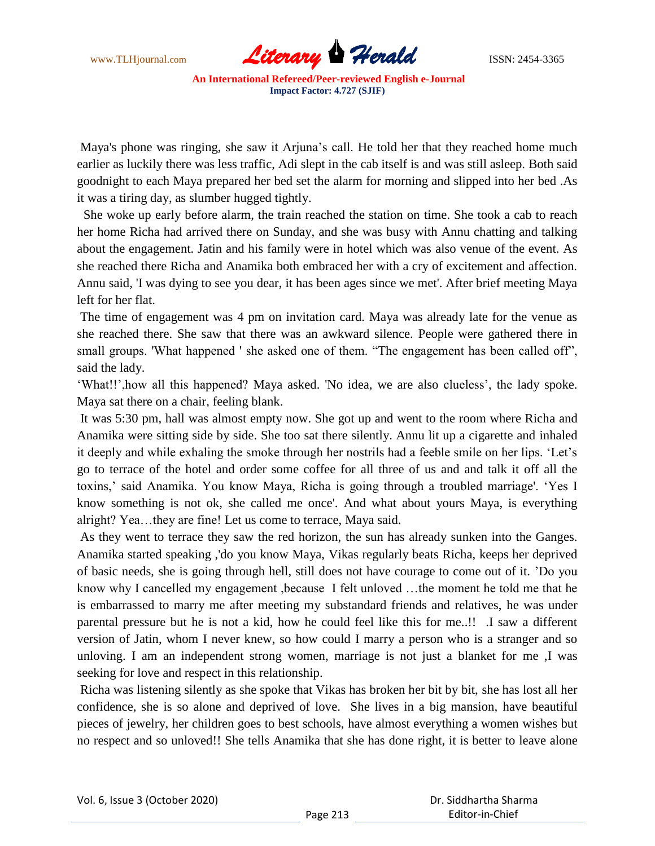

Maya's phone was ringing, she saw it Arjuna"s call. He told her that they reached home much earlier as luckily there was less traffic, Adi slept in the cab itself is and was still asleep. Both said goodnight to each Maya prepared her bed set the alarm for morning and slipped into her bed .As it was a tiring day, as slumber hugged tightly.

 She woke up early before alarm, the train reached the station on time. She took a cab to reach her home Richa had arrived there on Sunday, and she was busy with Annu chatting and talking about the engagement. Jatin and his family were in hotel which was also venue of the event. As she reached there Richa and Anamika both embraced her with a cry of excitement and affection. Annu said, 'I was dying to see you dear, it has been ages since we met'. After brief meeting Maya left for her flat.

The time of engagement was 4 pm on invitation card. Maya was already late for the venue as she reached there. She saw that there was an awkward silence. People were gathered there in small groups. 'What happened ' she asked one of them. "The engagement has been called off", said the lady.

"What!!",how all this happened? Maya asked. 'No idea, we are also clueless", the lady spoke. Maya sat there on a chair, feeling blank.

It was 5:30 pm, hall was almost empty now. She got up and went to the room where Richa and Anamika were sitting side by side. She too sat there silently. Annu lit up a cigarette and inhaled it deeply and while exhaling the smoke through her nostrils had a feeble smile on her lips. "Let"s go to terrace of the hotel and order some coffee for all three of us and and talk it off all the toxins,' said Anamika. You know Maya, Richa is going through a troubled marriage'. 'Yes I know something is not ok, she called me once'. And what about yours Maya, is everything alright? Yea…they are fine! Let us come to terrace, Maya said.

As they went to terrace they saw the red horizon, the sun has already sunken into the Ganges. Anamika started speaking ,'do you know Maya, Vikas regularly beats Richa, keeps her deprived of basic needs, she is going through hell, still does not have courage to come out of it. "Do you know why I cancelled my engagement ,because I felt unloved …the moment he told me that he is embarrassed to marry me after meeting my substandard friends and relatives, he was under parental pressure but he is not a kid, how he could feel like this for me..!! .I saw a different version of Jatin, whom I never knew, so how could I marry a person who is a stranger and so unloving. I am an independent strong women, marriage is not just a blanket for me ,I was seeking for love and respect in this relationship.

Richa was listening silently as she spoke that Vikas has broken her bit by bit, she has lost all her confidence, she is so alone and deprived of love. She lives in a big mansion, have beautiful pieces of jewelry, her children goes to best schools, have almost everything a women wishes but no respect and so unloved!! She tells Anamika that she has done right, it is better to leave alone